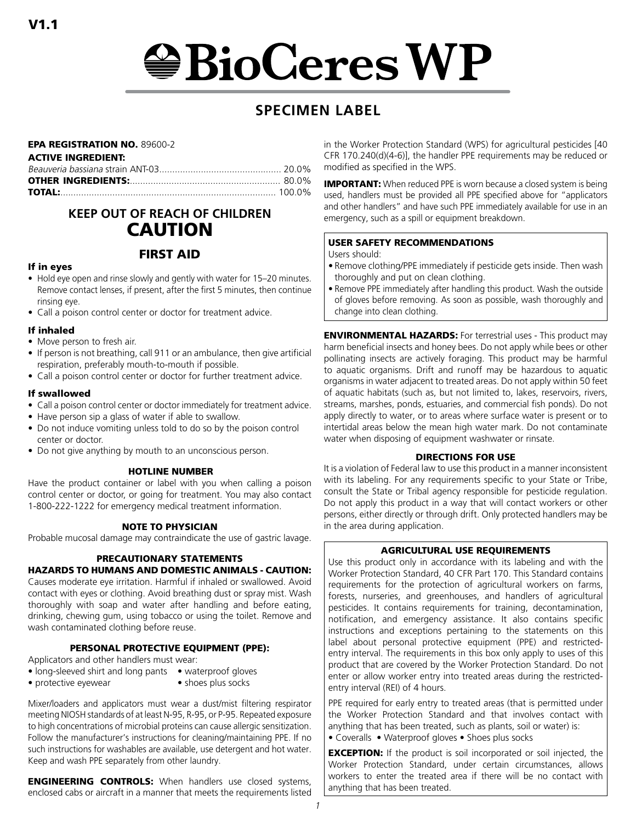# $\bigcirc$ BioCeres WP

# **SPECIMEN LABEL**

## EPA REGISTRATION NO. 89600-2

#### ACTIVE INGREDIENT:

# **KEEP OUT OF REACH OF CHILDREN** CAUTION

# FIRST AID

## If in eyes

- Hold eye open and rinse slowly and gently with water for 15–20 minutes. Remove contact lenses, if present, after the first 5 minutes, then continue rinsing eye.
- Call a poison control center or doctor for treatment advice.

## If inhaled

- Move person to fresh air.
- If person is not breathing, call 911 or an ambulance, then give artificial respiration, preferably mouth-to-mouth if possible.
- Call a poison control center or doctor for further treatment advice.

## If swallowed

- Call a poison control center or doctor immediately for treatment advice.
- Have person sip a glass of water if able to swallow.
- Do not induce vomiting unless told to do so by the poison control center or doctor.
- Do not give anything by mouth to an unconscious person.

## HOTLINE NUMBER

Have the product container or label with you when calling a poison control center or doctor, or going for treatment. You may also contact 1-800-222-1222 for emergency medical treatment information.

## NOTE TO PHYSICIAN

Probable mucosal damage may contraindicate the use of gastric lavage.

## PRECAUTIONARY STATEMENTS

## HAZARDS TO HUMANS AND DOMESTIC ANIMALS - CAUTION:

Causes moderate eye irritation. Harmful if inhaled or swallowed. Avoid contact with eyes or clothing. Avoid breathing dust or spray mist. Wash thoroughly with soap and water after handling and before eating, drinking, chewing gum, using tobacco or using the toilet. Remove and wash contaminated clothing before reuse.

## PERSONAL PROTECTIVE EQUIPMENT (PPE):

Applicators and other handlers must wear:

- long-sleeved shirt and long pants waterproof gloves
- protective eyewear shoes plus socks

Mixer/loaders and applicators must wear a dust/mist filtering respirator meeting NIOSH standards of at least N-95, R-95, or P-95. Repeated exposure to high concentrations of microbial proteins can cause allergic sensitization. Follow the manufacturer's instructions for cleaning/maintaining PPE. If no such instructions for washables are available, use detergent and hot water. Keep and wash PPE separately from other laundry.

**ENGINEERING CONTROLS:** When handlers use closed systems, enclosed cabs or aircraft in a manner that meets the requirements listed in the Worker Protection Standard (WPS) for agricultural pesticides [40 CFR 170.240(d)(4-6)], the handler PPE requirements may be reduced or modified as specified in the WPS.

**IMPORTANT:** When reduced PPE is worn because a closed system is being used, handlers must be provided all PPE specified above for "applicators and other handlers" and have such PPE immediately available for use in an emergency, such as a spill or equipment breakdown.

## USER SAFETY RECOMMENDATIONS

#### Users should:

- Remove clothing/PPE immediately if pesticide gets inside. Then wash thoroughly and put on clean clothing.
- Remove PPE immediately after handling this product. Wash the outside of gloves before removing. As soon as possible, wash thoroughly and change into clean clothing.

**ENVIRONMENTAL HAZARDS:** For terrestrial uses - This product may harm beneficial insects and honey bees. Do not apply while bees or other pollinating insects are actively foraging. This product may be harmful to aquatic organisms. Drift and runoff may be hazardous to aquatic organisms in water adjacent to treated areas. Do not apply within 50 feet of aquatic habitats (such as, but not limited to, lakes, reservoirs, rivers, streams, marshes, ponds, estuaries, and commercial fish ponds). Do not apply directly to water, or to areas where surface water is present or to intertidal areas below the mean high water mark. Do not contaminate water when disposing of equipment washwater or rinsate.

## DIRECTIONS FOR USE

It is a violation of Federal law to use this product in a manner inconsistent with its labeling. For any requirements specific to your State or Tribe, consult the State or Tribal agency responsible for pesticide regulation. Do not apply this product in a way that will contact workers or other persons, either directly or through drift. Only protected handlers may be in the area during application.

## AGRICULTURAL USE REQUIREMENTS

Use this product only in accordance with its labeling and with the Worker Protection Standard, 40 CFR Part 170. This Standard contains requirements for the protection of agricultural workers on farms, forests, nurseries, and greenhouses, and handlers of agricultural pesticides. It contains requirements for training, decontamination, notification, and emergency assistance. It also contains specific instructions and exceptions pertaining to the statements on this label about personal protective equipment (PPE) and restrictedentry interval. The requirements in this box only apply to uses of this product that are covered by the Worker Protection Standard. Do not enter or allow worker entry into treated areas during the restrictedentry interval (REI) of 4 hours.

PPE required for early entry to treated areas (that is permitted under the Worker Protection Standard and that involves contact with anything that has been treated, such as plants, soil or water) is: • Coveralls • Waterproof gloves • Shoes plus socks

**EXCEPTION:** If the product is soil incorporated or soil injected, the Worker Protection Standard, under certain circumstances, allows workers to enter the treated area if there will be no contact with anything that has been treated.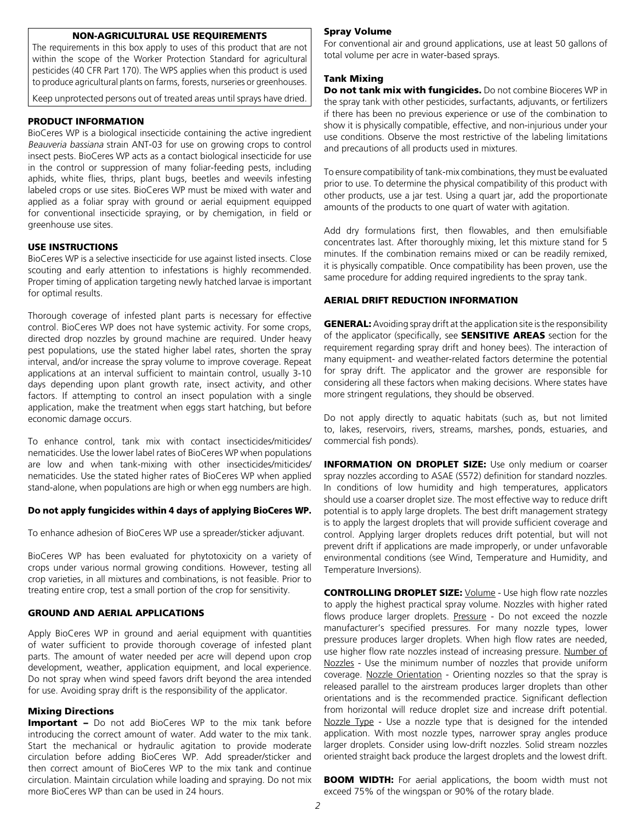#### NON-AGRICULTURAL USE REQUIREMENTS

The requirements in this box apply to uses of this product that are not within the scope of the Worker Protection Standard for agricultural pesticides (40 CFR Part 170). The WPS applies when this product is used to produce agricultural plants on farms, forests, nurseries or greenhouses.

Keep unprotected persons out of treated areas until sprays have dried.

## PRODUCT INFORMATION

BioCeres WP is a biological insecticide containing the active ingredient Beauveria bassiana strain ANT-03 for use on growing crops to control insect pests. BioCeres WP acts as a contact biological insecticide for use in the control or suppression of many foliar-feeding pests, including aphids, white flies, thrips, plant bugs, beetles and weevils infesting labeled crops or use sites. BioCeres WP must be mixed with water and applied as a foliar spray with ground or aerial equipment equipped for conventional insecticide spraying, or by chemigation, in field or greenhouse use sites.

## USE INSTRUCTIONS

BioCeres WP is a selective insecticide for use against listed insects. Close scouting and early attention to infestations is highly recommended. Proper timing of application targeting newly hatched larvae is important for optimal results.

Thorough coverage of infested plant parts is necessary for effective control. BioCeres WP does not have systemic activity. For some crops, directed drop nozzles by ground machine are required. Under heavy pest populations, use the stated higher label rates, shorten the spray interval, and/or increase the spray volume to improve coverage. Repeat applications at an interval sufficient to maintain control, usually 3-10 days depending upon plant growth rate, insect activity, and other factors. If attempting to control an insect population with a single application, make the treatment when eggs start hatching, but before economic damage occurs.

To enhance control, tank mix with contact insecticides/miticides/ nematicides. Use the lower label rates of BioCeres WP when populations are low and when tank-mixing with other insecticides/miticides/ nematicides. Use the stated higher rates of BioCeres WP when applied stand-alone, when populations are high or when egg numbers are high.

#### Do not apply fungicides within 4 days of applying BioCeres WP.

To enhance adhesion of BioCeres WP use a spreader/sticker adjuvant.

BioCeres WP has been evaluated for phytotoxicity on a variety of crops under various normal growing conditions. However, testing all crop varieties, in all mixtures and combinations, is not feasible. Prior to treating entire crop, test a small portion of the crop for sensitivity.

#### GROUND AND AERIAL APPLICATIONS

Apply BioCeres WP in ground and aerial equipment with quantities of water sufficient to provide thorough coverage of infested plant parts. The amount of water needed per acre will depend upon crop development, weather, application equipment, and local experience. Do not spray when wind speed favors drift beyond the area intended for use. Avoiding spray drift is the responsibility of the applicator.

## Mixing Directions

Important - Do not add BioCeres WP to the mix tank before introducing the correct amount of water. Add water to the mix tank. Start the mechanical or hydraulic agitation to provide moderate circulation before adding BioCeres WP. Add spreader/sticker and then correct amount of BioCeres WP to the mix tank and continue circulation. Maintain circulation while loading and spraying. Do not mix more BioCeres WP than can be used in 24 hours.

#### Spray Volume

For conventional air and ground applications, use at least 50 gallons of total volume per acre in water-based sprays.

#### Tank Mixing

Do not tank mix with fungicides. Do not combine Bioceres WP in the spray tank with other pesticides, surfactants, adjuvants, or fertilizers if there has been no previous experience or use of the combination to show it is physically compatible, effective, and non-injurious under your use conditions. Observe the most restrictive of the labeling limitations and precautions of all products used in mixtures.

To ensure compatibility of tank-mix combinations, they must be evaluated prior to use. To determine the physical compatibility of this product with other products, use a jar test. Using a quart jar, add the proportionate amounts of the products to one quart of water with agitation.

Add dry formulations first, then flowables, and then emulsifiable concentrates last. After thoroughly mixing, let this mixture stand for 5 minutes. If the combination remains mixed or can be readily remixed, it is physically compatible. Once compatibility has been proven, use the same procedure for adding required ingredients to the spray tank.

## AERIAL DRIFT REDUCTION INFORMATION

**GENERAL:** Avoiding spray drift at the application site is the responsibility of the applicator (specifically, see **SENSITIVE AREAS** section for the requirement regarding spray drift and honey bees). The interaction of many equipment- and weather-related factors determine the potential for spray drift. The applicator and the grower are responsible for considering all these factors when making decisions. Where states have more stringent regulations, they should be observed.

Do not apply directly to aquatic habitats (such as, but not limited to, lakes, reservoirs, rivers, streams, marshes, ponds, estuaries, and commercial fish ponds).

**INFORMATION ON DROPLET SIZE:** Use only medium or coarser spray nozzles according to ASAE (S572) definition for standard nozzles. In conditions of low humidity and high temperatures, applicators should use a coarser droplet size. The most effective way to reduce drift potential is to apply large droplets. The best drift management strategy is to apply the largest droplets that will provide sufficient coverage and control. Applying larger droplets reduces drift potential, but will not prevent drift if applications are made improperly, or under unfavorable environmental conditions (see Wind, Temperature and Humidity, and Temperature Inversions).

**CONTROLLING DROPLET SIZE:** Volume - Use high flow rate nozzles to apply the highest practical spray volume. Nozzles with higher rated flows produce larger droplets. Pressure - Do not exceed the nozzle manufacturer's specified pressures. For many nozzle types, lower pressure produces larger droplets. When high flow rates are needed, use higher flow rate nozzles instead of increasing pressure. Number of Nozzles - Use the minimum number of nozzles that provide uniform coverage. Nozzle Orientation - Orienting nozzles so that the spray is released parallel to the airstream produces larger droplets than other orientations and is the recommended practice. Significant deflection from horizontal will reduce droplet size and increase drift potential. Nozzle Type - Use a nozzle type that is designed for the intended application. With most nozzle types, narrower spray angles produce larger droplets. Consider using low-drift nozzles. Solid stream nozzles oriented straight back produce the largest droplets and the lowest drift.

**BOOM WIDTH:** For aerial applications, the boom width must not exceed 75% of the wingspan or 90% of the rotary blade.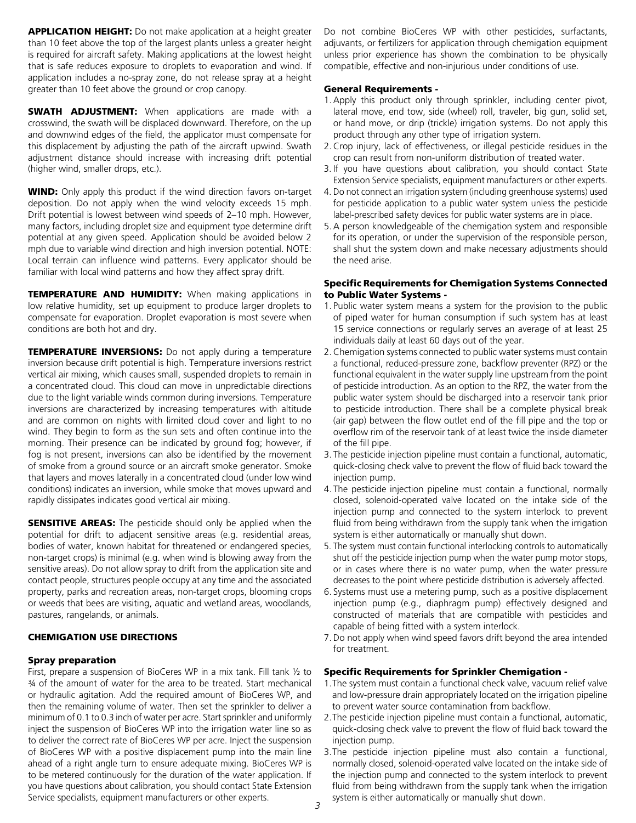**APPLICATION HEIGHT:** Do not make application at a height greater than 10 feet above the top of the largest plants unless a greater height is required for aircraft safety. Making applications at the lowest height that is safe reduces exposure to droplets to evaporation and wind. If application includes a no-spray zone, do not release spray at a height greater than 10 feet above the ground or crop canopy.

**SWATH ADJUSTMENT:** When applications are made with a crosswind, the swath will be displaced downward. Therefore, on the up and downwind edges of the field, the applicator must compensate for this displacement by adjusting the path of the aircraft upwind. Swath adjustment distance should increase with increasing drift potential (higher wind, smaller drops, etc.).

**WIND:** Only apply this product if the wind direction favors on-target deposition. Do not apply when the wind velocity exceeds 15 mph. Drift potential is lowest between wind speeds of 2–10 mph. However, many factors, including droplet size and equipment type determine drift potential at any given speed. Application should be avoided below 2 mph due to variable wind direction and high inversion potential. NOTE: Local terrain can influence wind patterns. Every applicator should be familiar with local wind patterns and how they affect spray drift.

**TEMPERATURE AND HUMIDITY:** When making applications in low relative humidity, set up equipment to produce larger droplets to compensate for evaporation. Droplet evaporation is most severe when conditions are both hot and dry.

**TEMPERATURE INVERSIONS:** Do not apply during a temperature inversion because drift potential is high. Temperature inversions restrict vertical air mixing, which causes small, suspended droplets to remain in a concentrated cloud. This cloud can move in unpredictable directions due to the light variable winds common during inversions. Temperature inversions are characterized by increasing temperatures with altitude and are common on nights with limited cloud cover and light to no wind. They begin to form as the sun sets and often continue into the morning. Their presence can be indicated by ground fog; however, if fog is not present, inversions can also be identified by the movement of smoke from a ground source or an aircraft smoke generator. Smoke that layers and moves laterally in a concentrated cloud (under low wind conditions) indicates an inversion, while smoke that moves upward and rapidly dissipates indicates good vertical air mixing.

**SENSITIVE AREAS:** The pesticide should only be applied when the potential for drift to adjacent sensitive areas (e.g. residential areas, bodies of water, known habitat for threatened or endangered species, non-target crops) is minimal (e.g. when wind is blowing away from the sensitive areas). Do not allow spray to drift from the application site and contact people, structures people occupy at any time and the associated property, parks and recreation areas, non-target crops, blooming crops or weeds that bees are visiting, aquatic and wetland areas, woodlands, pastures, rangelands, or animals.

## CHEMIGATION USE DIRECTIONS

## Spray preparation

First, prepare a suspension of BioCeres WP in a mix tank. Fill tank ½ to ¾ of the amount of water for the area to be treated. Start mechanical or hydraulic agitation. Add the required amount of BioCeres WP, and then the remaining volume of water. Then set the sprinkler to deliver a minimum of 0.1 to 0.3 inch of water per acre. Start sprinkler and uniformly inject the suspension of BioCeres WP into the irrigation water line so as to deliver the correct rate of BioCeres WP per acre. Inject the suspension of BioCeres WP with a positive displacement pump into the main line ahead of a right angle turn to ensure adequate mixing. BioCeres WP is to be metered continuously for the duration of the water application. If you have questions about calibration, you should contact State Extension Service specialists, equipment manufacturers or other experts.

Do not combine BioCeres WP with other pesticides, surfactants, adjuvants, or fertilizers for application through chemigation equipment unless prior experience has shown the combination to be physically compatible, effective and non-injurious under conditions of use.

## General Requirements -

- 1.Apply this product only through sprinkler, including center pivot, lateral move, end tow, side (wheel) roll, traveler, big gun, solid set, or hand move, or drip (trickle) irrigation systems. Do not apply this product through any other type of irrigation system.
- 2.Crop injury, lack of effectiveness, or illegal pesticide residues in the crop can result from non-uniform distribution of treated water.
- 3. If you have questions about calibration, you should contact State Extension Service specialists, equipment manufacturers or other experts.
- 4. Do not connect an irrigation system (including greenhouse systems) used for pesticide application to a public water system unless the pesticide label-prescribed safety devices for public water systems are in place.
- 5.A person knowledgeable of the chemigation system and responsible for its operation, or under the supervision of the responsible person, shall shut the system down and make necessary adjustments should the need arise.

## Specific Requirements for Chemigation Systems Connected to Public Water Systems -

- 1. Public water system means a system for the provision to the public of piped water for human consumption if such system has at least 15 service connections or regularly serves an average of at least 25 individuals daily at least 60 days out of the year.
- 2.Chemigation systems connected to public water systems must contain a functional, reduced-pressure zone, backflow preventer (RPZ) or the functional equivalent in the water supply line upstream from the point of pesticide introduction. As an option to the RPZ, the water from the public water system should be discharged into a reservoir tank prior to pesticide introduction. There shall be a complete physical break (air gap) between the flow outlet end of the fill pipe and the top or overflow rim of the reservoir tank of at least twice the inside diameter of the fill pipe.
- 3. The pesticide injection pipeline must contain a functional, automatic, quick-closing check valve to prevent the flow of fluid back toward the injection pump.
- 4. The pesticide injection pipeline must contain a functional, normally closed, solenoid-operated valve located on the intake side of the injection pump and connected to the system interlock to prevent fluid from being withdrawn from the supply tank when the irrigation system is either automatically or manually shut down.
- 5. The system must contain functional interlocking controls to automatically shut off the pesticide injection pump when the water pump motor stops, or in cases where there is no water pump, when the water pressure decreases to the point where pesticide distribution is adversely affected.
- 6. Systems must use a metering pump, such as a positive displacement injection pump (e.g., diaphragm pump) effectively designed and constructed of materials that are compatible with pesticides and capable of being fitted with a system interlock.
- 7.Do not apply when wind speed favors drift beyond the area intended for treatment.

## Specific Requirements for Sprinkler Chemigation -

- 1.The system must contain a functional check valve, vacuum relief valve and low-pressure drain appropriately located on the irrigation pipeline to prevent water source contamination from backflow.
- 2.The pesticide injection pipeline must contain a functional, automatic, quick-closing check valve to prevent the flow of fluid back toward the injection pump.
- 3.The pesticide injection pipeline must also contain a functional, normally closed, solenoid-operated valve located on the intake side of the injection pump and connected to the system interlock to prevent fluid from being withdrawn from the supply tank when the irrigation system is either automatically or manually shut down.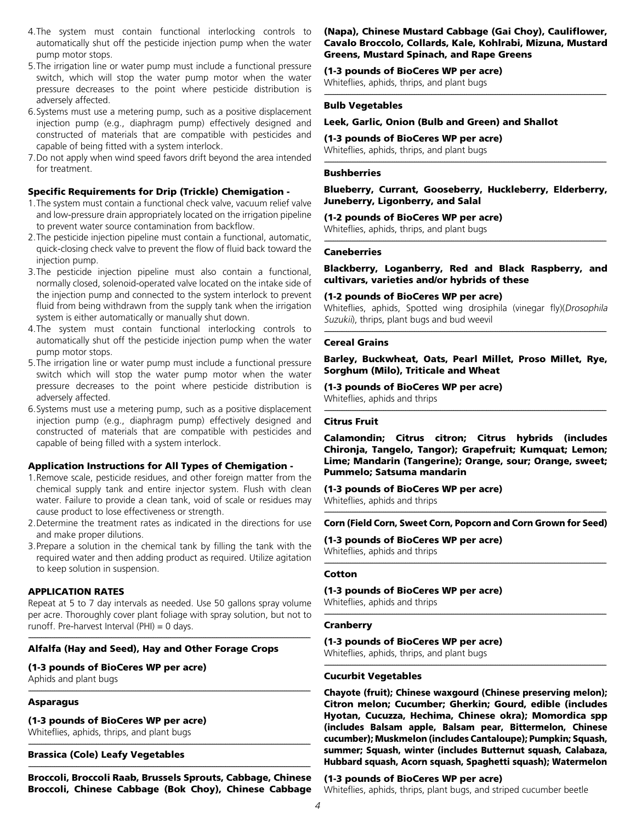- 4.The system must contain functional interlocking controls to automatically shut off the pesticide injection pump when the water pump motor stops.
- 5.The irrigation line or water pump must include a functional pressure switch, which will stop the water pump motor when the water pressure decreases to the point where pesticide distribution is adversely affected.
- 6.Systems must use a metering pump, such as a positive displacement injection pump (e.g., diaphragm pump) effectively designed and constructed of materials that are compatible with pesticides and capable of being fitted with a system interlock.
- 7.Do not apply when wind speed favors drift beyond the area intended for treatment.

## Specific Requirements for Drip (Trickle) Chemigation -

- 1.The system must contain a functional check valve, vacuum relief valve and low-pressure drain appropriately located on the irrigation pipeline to prevent water source contamination from backflow.
- 2.The pesticide injection pipeline must contain a functional, automatic, quick-closing check valve to prevent the flow of fluid back toward the injection pump.
- 3.The pesticide injection pipeline must also contain a functional, normally closed, solenoid-operated valve located on the intake side of the injection pump and connected to the system interlock to prevent fluid from being withdrawn from the supply tank when the irrigation system is either automatically or manually shut down.
- 4.The system must contain functional interlocking controls to automatically shut off the pesticide injection pump when the water pump motor stops.
- 5.The irrigation line or water pump must include a functional pressure switch which will stop the water pump motor when the water pressure decreases to the point where pesticide distribution is adversely affected.
- 6.Systems must use a metering pump, such as a positive displacement injection pump (e.g., diaphragm pump) effectively designed and constructed of materials that are compatible with pesticides and capable of being filled with a system interlock.

## Application Instructions for All Types of Chemigation -

- 1.Remove scale, pesticide residues, and other foreign matter from the chemical supply tank and entire injector system. Flush with clean water. Failure to provide a clean tank, void of scale or residues may cause product to lose effectiveness or strength.
- 2.Determine the treatment rates as indicated in the directions for use and make proper dilutions.
- 3.Prepare a solution in the chemical tank by filling the tank with the required water and then adding product as required. Utilize agitation to keep solution in suspension.

## APPLICATION RATES

Repeat at 5 to 7 day intervals as needed. Use 50 gallons spray volume per acre. Thoroughly cover plant foliage with spray solution, but not to runoff. Pre-harvest Interval (PHI) = 0 days.

---------------------------------------------------------------------------------------------------------------------------------------------------------

---------------------------------------------------------------------------------------------------------------------------------------------------------

## Alfalfa (Hay and Seed), Hay and Other Forage Crops

(1-3 pounds of BioCeres WP per acre)

Aphids and plant bugs

## Asparagus

(1-3 pounds of BioCeres WP per acre)

Whiteflies, aphids, thrips, and plant bugs ---------------------------------------------------------------------------------------------------------------------------------------------------------

## Brassica (Cole) Leafy Vegetables

--------------------------------------------------------------------------------------------------------------------------------------------------------- Broccoli, Broccoli Raab, Brussels Sprouts, Cabbage, Chinese Broccoli, Chinese Cabbage (Bok Choy), Chinese Cabbage

#### (Napa), Chinese Mustard Cabbage (Gai Choy), Cauliflower, Cavalo Broccolo, Collards, Kale, Kohlrabi, Mizuna, Mustard Greens, Mustard Spinach, and Rape Greens

(1-3 pounds of BioCeres WP per acre) Whiteflies, aphids, thrips, and plant bugs

#### --------------------------------------------------------------------------------------------------------------------------------------------------------- Bulb Vegetables

#### Leek, Garlic, Onion (Bulb and Green) and Shallot

(1-3 pounds of BioCeres WP per acre)

Whiteflies, aphids, thrips, and plant bugs ---------------------------------------------------------------------------------------------------------------------------------------------------------

## **Bushberries**

Blueberry, Currant, Gooseberry, Huckleberry, Elderberry, Juneberry, Ligonberry, and Salal

(1-2 pounds of BioCeres WP per acre)

Whiteflies, aphids, thrips, and plant bugs ---------------------------------------------------------------------------------------------------------------------------------------------------------

## **Caneberries**

Blackberry, Loganberry, Red and Black Raspberry, and cultivars, varieties and/or hybrids of these

#### (1-2 pounds of BioCeres WP per acre)

Whiteflies, aphids, Spotted wing drosiphila (vinegar fly)(Drosophila Suzukii), thrips, plant bugs and bud weevil ---------------------------------------------------------------------------------------------------------------------------------------------------------

#### Cereal Grains

Barley, Buckwheat, Oats, Pearl Millet, Proso Millet, Rye, Sorghum (Milo), Triticale and Wheat

---------------------------------------------------------------------------------------------------------------------------------------------------------

## (1-3 pounds of BioCeres WP per acre)

Whiteflies, aphids and thrips

## Citrus Fruit

Calamondin; Citrus citron; Citrus hybrids (includes Chironja, Tangelo, Tangor); Grapefruit; Kumquat; Lemon; Lime; Mandarin (Tangerine); Orange, sour; Orange, sweet; Pummelo; Satsuma mandarin

(1-3 pounds of BioCeres WP per acre) Whiteflies, aphids and thrips

--------------------------------------------------------------------------------------------------------------------------------------------------------- Corn (Field Corn, Sweet Corn, Popcorn and Corn Grown for Seed)

(1-3 pounds of BioCeres WP per acre) Whiteflies, aphids and thrips

#### --------------------------------------------------------------------------------------------------------------------------------------------------------- Cotton

(1-3 pounds of BioCeres WP per acre)

Whiteflies, aphids and thrips

#### --------------------------------------------------------------------------------------------------------------------------------------------------------- **Cranberry**

(1-3 pounds of BioCeres WP per acre)

Whiteflies, aphids, thrips, and plant bugs ---------------------------------------------------------------------------------------------------------------------------------------------------------

#### Cucurbit Vegetables

Chayote (fruit); Chinese waxgourd (Chinese preserving melon); Citron melon; Cucumber; Gherkin; Gourd, edible (includes Hyotan, Cucuzza, Hechima, Chinese okra); Momordica spp (includes Balsam apple, Balsam pear, Bittermelon, Chinese cucumber); Muskmelon (includes Cantaloupe); Pumpkin; Squash, summer; Squash, winter (includes Butternut squash, Calabaza, Hubbard squash, Acorn squash, Spaghetti squash); Watermelon

#### (1-3 pounds of BioCeres WP per acre)

Whiteflies, aphids, thrips, plant bugs, and striped cucumber beetle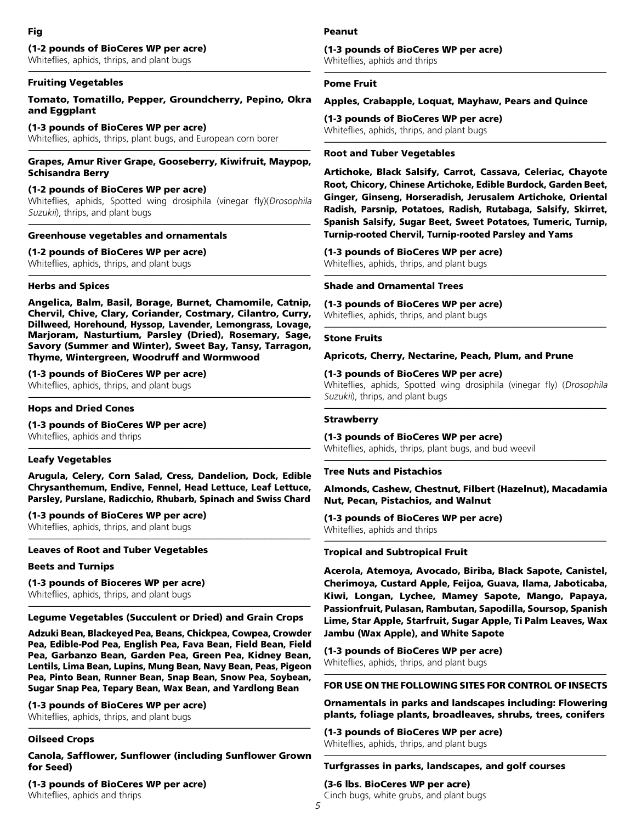# (1-2 pounds of BioCeres WP per acre)

Whiteflies, aphids, thrips, and plant bugs

#### --------------------------------------------------------------------------------------------------------------------------------------------------------- Fruiting Vegetables

## Tomato, Tomatillo, Pepper, Groundcherry, Pepino, Okra and Eggplant

## (1-3 pounds of BioCeres WP per acre)

Whiteflies, aphids, thrips, plant bugs, and European corn borer

#### --------------------------------------------------------------------------------------------------------------------------------------------------------- Grapes, Amur River Grape, Gooseberry, Kiwifruit, Maypop, Schisandra Berry

## (1-2 pounds of BioCeres WP per acre)

Whiteflies, aphids, Spotted wing drosiphila (vinegar fly)(Drosophila Suzukii), thrips, and plant bugs ---------------------------------------------------------------------------------------------------------------------------------------------------------

## Greenhouse vegetables and ornamentals

## (1-2 pounds of BioCeres WP per acre)

Whiteflies, aphids, thrips, and plant bugs

## Herbs and Spices

Angelica, Balm, Basil, Borage, Burnet, Chamomile, Catnip, Chervil, Chive, Clary, Coriander, Costmary, Cilantro, Curry, Dillweed, Horehound, Hyssop, Lavender, Lemongrass, Lovage, Marjoram, Nasturtium, Parsley (Dried), Rosemary, Sage, Savory (Summer and Winter), Sweet Bay, Tansy, Tarragon, Thyme, Wintergreen, Woodruff and Wormwood

---------------------------------------------------------------------------------------------------------------------------------------------------------

## (1-3 pounds of BioCeres WP per acre)

Whiteflies, aphids, thrips, and plant bugs

#### --------------------------------------------------------------------------------------------------------------------------------------------------------- Hops and Dried Cones

## (1-3 pounds of BioCeres WP per acre)

Whiteflies, aphids and thrips

## Leafy Vegetables

Arugula, Celery, Corn Salad, Cress, Dandelion, Dock, Edible Chrysanthemum, Endive, Fennel, Head Lettuce, Leaf Lettuce, Parsley, Purslane, Radicchio, Rhubarb, Spinach and Swiss Chard

---------------------------------------------------------------------------------------------------------------------------------------------------------

---------------------------------------------------------------------------------------------------------------------------------------------------------

## (1-3 pounds of BioCeres WP per acre)

Whiteflies, aphids, thrips, and plant bugs

## Leaves of Root and Tuber Vegetables

Beets and Turnips

## (1-3 pounds of Bioceres WP per acre) Whiteflies, aphids, thrips, and plant bugs

---------------------------------------------------------------------------------------------------------------------------------------------------------

## Legume Vegetables (Succulent or Dried) and Grain Crops

Adzuki Bean, Blackeyed Pea, Beans, Chickpea, Cowpea, Crowder Pea, Edible-Pod Pea, English Pea, Fava Bean, Field Bean, Field Pea, Garbanzo Bean, Garden Pea, Green Pea, Kidney Bean, Lentils, Lima Bean, Lupins, Mung Bean, Navy Bean, Peas, Pigeon Pea, Pinto Bean, Runner Bean, Snap Bean, Snow Pea, Soybean, Sugar Snap Pea, Tepary Bean, Wax Bean, and Yardlong Bean

## (1-3 pounds of BioCeres WP per acre)

Whiteflies, aphids, thrips, and plant bugs

## Oilseed Crops

Canola, Safflower, Sunflower (including Sunflower Grown for Seed)

---------------------------------------------------------------------------------------------------------------------------------------------------------

(1-3 pounds of BioCeres WP per acre) Whiteflies, aphids and thrips

## Peanut

#### (1-3 pounds of BioCeres WP per acre) Whiteflies, aphids and thrips

---------------------------------------------------------------------------------------------------------------------------------------------------------

## Pome Fruit

## Apples, Crabapple, Loquat, Mayhaw, Pears and Quince

(1-3 pounds of BioCeres WP per acre) Whiteflies, aphids, thrips, and plant bugs

## Root and Tuber Vegetables

Artichoke, Black Salsify, Carrot, Cassava, Celeriac, Chayote Root, Chicory, Chinese Artichoke, Edible Burdock, Garden Beet, Ginger, Ginseng, Horseradish, Jerusalem Artichoke, Oriental Radish, Parsnip, Potatoes, Radish, Rutabaga, Salsify, Skirret, Spanish Salsify, Sugar Beet, Sweet Potatoes, Tumeric, Turnip, Turnip-rooted Chervil, Turnip-rooted Parsley and Yams

---------------------------------------------------------------------------------------------------------------------------------------------------------

---------------------------------------------------------------------------------------------------------------------------------------------------------

(1-3 pounds of BioCeres WP per acre)

Whiteflies, aphids, thrips, and plant bugs

## Shade and Ornamental Trees

## (1-3 pounds of BioCeres WP per acre)

Whiteflies, aphids, thrips, and plant bugs

#### --------------------------------------------------------------------------------------------------------------------------------------------------------- Stone Fruits

Apricots, Cherry, Nectarine, Peach, Plum, and Prune

## (1-3 pounds of BioCeres WP per acre)

Whiteflies, aphids, Spotted wing drosiphila (vinegar fly) (Drosophila Suzukii), thrips, and plant bugs

#### --------------------------------------------------------------------------------------------------------------------------------------------------------- **Strawberry**

## (1-3 pounds of BioCeres WP per acre)

Whiteflies, aphids, thrips, plant bugs, and bud weevil

## Tree Nuts and Pistachios

Almonds, Cashew, Chestnut, Filbert (Hazelnut), Macadamia Nut, Pecan, Pistachios, and Walnut

---------------------------------------------------------------------------------------------------------------------------------------------------------

---------------------------------------------------------------------------------------------------------------------------------------------------------

# (1-3 pounds of BioCeres WP per acre)

Whiteflies, aphids and thrips

## Tropical and Subtropical Fruit

Acerola, Atemoya, Avocado, Biriba, Black Sapote, Canistel, Cherimoya, Custard Apple, Feijoa, Guava, Ilama, Jaboticaba, Kiwi, Longan, Lychee, Mamey Sapote, Mango, Papaya, Passionfruit, Pulasan, Rambutan, Sapodilla, Soursop, Spanish Lime, Star Apple, Starfruit, Sugar Apple, Ti Palm Leaves, Wax Jambu (Wax Apple), and White Sapote

(1-3 pounds of BioCeres WP per acre)

Whiteflies, aphids, thrips, and plant bugs ---------------------------------------------------------------------------------------------------------------------------------------------------------

## FOR USE ON THE FOLLOWING SITES FOR CONTROL OF INSECTS

Ornamentals in parks and landscapes including: Flowering plants, foliage plants, broadleaves, shrubs, trees, conifers

(1-3 pounds of BioCeres WP per acre) Whiteflies, aphids, thrips, and plant bugs

#### --------------------------------------------------------------------------------------------------------------------------------------------------------- Turfgrasses in parks, landscapes, and golf courses

## (3-6 lbs. BioCeres WP per acre)

Cinch bugs, white grubs, and plant bugs